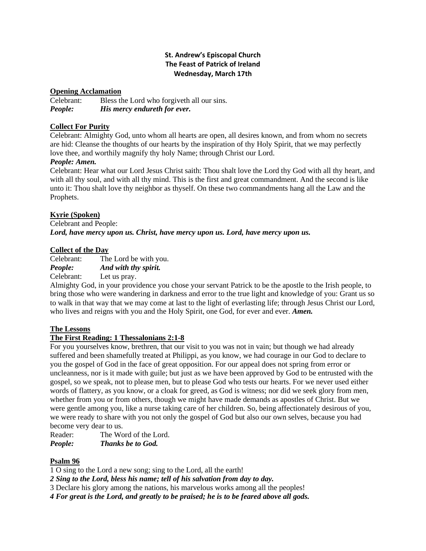# **St. Andrew's Episcopal Church The Feast of Patrick of Ireland Wednesday, March 17th**

### **Opening Acclamation**

Celebrant: Bless the Lord who forgiveth all our sins. *People: His mercy endureth for ever.*

# **Collect For Purity**

Celebrant: Almighty God, unto whom all hearts are open, all desires known, and from whom no secrets are hid: Cleanse the thoughts of our hearts by the inspiration of thy Holy Spirit, that we may perfectly love thee, and worthily magnify thy holy Name; through Christ our Lord.

## *People: Amen.*

Celebrant: Hear what our Lord Jesus Christ saith: Thou shalt love the Lord thy God with all thy heart, and with all thy soul, and with all thy mind. This is the first and great commandment. And the second is like unto it: Thou shalt love thy neighbor as thyself. On these two commandments hang all the Law and the Prophets.

# **Kyrie (Spoken)**

Celebrant and People: *Lord, have mercy upon us. Christ, have mercy upon us. Lord, have mercy upon us.*

# **Collect of the Day**

Celebrant: The Lord be with you. *People: And with thy spirit.* Celebrant: Let us pray.

Almighty God, in your providence you chose your servant Patrick to be the apostle to the Irish people, to bring those who were wandering in darkness and error to the true light and knowledge of you: Grant us so to walk in that way that we may come at last to the light of everlasting life; through Jesus Christ our Lord, who lives and reigns with you and the Holy Spirit, one God, for ever and ever. *Amen.*

## **The Lessons**

## **The First Reading: 1 Thessalonians 2:1-8**

For you yourselves know, brethren, that our visit to you was not in vain; but though we had already suffered and been shamefully treated at Philippi, as you know, we had courage in our God to declare to you the gospel of God in the face of great opposition. For our appeal does not spring from error or uncleanness, nor is it made with guile; but just as we have been approved by God to be entrusted with the gospel, so we speak, not to please men, but to please God who tests our hearts. For we never used either words of flattery, as you know, or a cloak for greed, as God is witness; nor did we seek glory from men, whether from you or from others, though we might have made demands as apostles of Christ. But we were gentle among you, like a nurse taking care of her children. So, being affectionately desirous of you, we were ready to share with you not only the gospel of God but also our own selves, because you had become very dear to us.

Reader: The Word of the Lord. *People: Thanks be to God.*

## **Psalm 96**

1 O sing to the Lord a new song; sing to the Lord, all the earth!

*2 Sing to the Lord, bless his name; tell of his salvation from day to day.*

3 Declare his glory among the nations, his marvelous works among all the peoples!

*4 For great is the Lord, and greatly to be praised; he is to be feared above all gods.*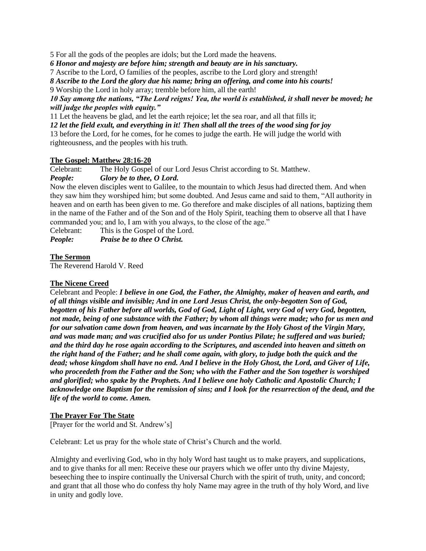5 For all the gods of the peoples are idols; but the Lord made the heavens.

*6 Honor and majesty are before him; strength and beauty are in his sanctuary.*

7 Ascribe to the Lord, O families of the peoples, ascribe to the Lord glory and strength!

*8 Ascribe to the Lord the glory due his name; bring an offering, and come into his courts!*

9 Worship the Lord in holy array; tremble before him, all the earth!

## *10 Say among the nations, "The Lord reigns! Yea, the world is established, it shall never be moved; he will judge the peoples with equity."*

11 Let the heavens be glad, and let the earth rejoice; let the sea roar, and all that fills it;

*12 let the field exult, and everything in it! Then shall all the trees of the wood sing for joy*

13 before the Lord, for he comes, for he comes to judge the earth. He will judge the world with righteousness, and the peoples with his truth.

## **The Gospel: Matthew 28:16-20**

Celebrant: The Holy Gospel of our Lord Jesus Christ according to St. Matthew. *People: Glory be to thee, O Lord.*

Now the eleven disciples went to Galilee, to the mountain to which Jesus had directed them. And when they saw him they worshiped him; but some doubted. And Jesus came and said to them, "All authority in heaven and on earth has been given to me. Go therefore and make disciples of all nations, baptizing them in the name of the Father and of the Son and of the Holy Spirit, teaching them to observe all that I have commanded you; and lo, I am with you always, to the close of the age."

Celebrant: This is the Gospel of the Lord.

*People: Praise be to thee O Christ.*

## **The Sermon**

The Reverend Harold V. Reed

## **The Nicene Creed**

Celebrant and People: *I believe in one God, the Father, the Almighty, maker of heaven and earth, and of all things visible and invisible; And in one Lord Jesus Christ, the only-begotten Son of God, begotten of his Father before all worlds, God of God, Light of Light, very God of very God, begotten, not made, being of one substance with the Father; by whom all things were made; who for us men and for our salvation came down from heaven, and was incarnate by the Holy Ghost of the Virgin Mary, and was made man; and was crucified also for us under Pontius Pilate; he suffered and was buried; and the third day he rose again according to the Scriptures, and ascended into heaven and sitteth on the right hand of the Father; and he shall come again, with glory, to judge both the quick and the dead; whose kingdom shall have no end. And I believe in the Holy Ghost, the Lord, and Giver of Life, who proceedeth from the Father and the Son; who with the Father and the Son together is worshiped and glorified; who spake by the Prophets. And I believe one holy Catholic and Apostolic Church; I acknowledge one Baptism for the remission of sins; and I look for the resurrection of the dead, and the life of the world to come. Amen.*

## **The Prayer For The State**

[Prayer for the world and St. Andrew's]

Celebrant: Let us pray for the whole state of Christ's Church and the world.

Almighty and everliving God, who in thy holy Word hast taught us to make prayers, and supplications, and to give thanks for all men: Receive these our prayers which we offer unto thy divine Majesty, beseeching thee to inspire continually the Universal Church with the spirit of truth, unity, and concord; and grant that all those who do confess thy holy Name may agree in the truth of thy holy Word, and live in unity and godly love.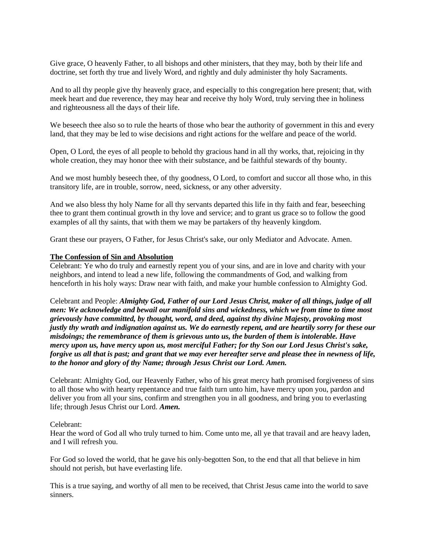Give grace, O heavenly Father, to all bishops and other ministers, that they may, both by their life and doctrine, set forth thy true and lively Word, and rightly and duly administer thy holy Sacraments.

And to all thy people give thy heavenly grace, and especially to this congregation here present; that, with meek heart and due reverence, they may hear and receive thy holy Word, truly serving thee in holiness and righteousness all the days of their life.

We beseech thee also so to rule the hearts of those who bear the authority of government in this and every land, that they may be led to wise decisions and right actions for the welfare and peace of the world.

Open, O Lord, the eyes of all people to behold thy gracious hand in all thy works, that, rejoicing in thy whole creation, they may honor thee with their substance, and be faithful stewards of thy bounty.

And we most humbly beseech thee, of thy goodness, O Lord, to comfort and succor all those who, in this transitory life, are in trouble, sorrow, need, sickness, or any other adversity.

And we also bless thy holy Name for all thy servants departed this life in thy faith and fear, beseeching thee to grant them continual growth in thy love and service; and to grant us grace so to follow the good examples of all thy saints, that with them we may be partakers of thy heavenly kingdom.

Grant these our prayers, O Father, for Jesus Christ's sake, our only Mediator and Advocate. Amen.

#### **The Confession of Sin and Absolution**

Celebrant: Ye who do truly and earnestly repent you of your sins, and are in love and charity with your neighbors, and intend to lead a new life, following the commandments of God, and walking from henceforth in his holy ways: Draw near with faith, and make your humble confession to Almighty God.

Celebrant and People: *Almighty God, Father of our Lord Jesus Christ, maker of all things, judge of all men: We acknowledge and bewail our manifold sins and wickedness, which we from time to time most grievously have committed, by thought, word, and deed, against thy divine Majesty, provoking most justly thy wrath and indignation against us. We do earnestly repent, and are heartily sorry for these our misdoings; the remembrance of them is grievous unto us, the burden of them is intolerable. Have mercy upon us, have mercy upon us, most merciful Father; for thy Son our Lord Jesus Christ's sake, forgive us all that is past; and grant that we may ever hereafter serve and please thee in newness of life, to the honor and glory of thy Name; through Jesus Christ our Lord. Amen.*

Celebrant: Almighty God, our Heavenly Father, who of his great mercy hath promised forgiveness of sins to all those who with hearty repentance and true faith turn unto him, have mercy upon you, pardon and deliver you from all your sins, confirm and strengthen you in all goodness, and bring you to everlasting life; through Jesus Christ our Lord. *Amen.*

#### Celebrant:

Hear the word of God all who truly turned to him. Come unto me, all ye that travail and are heavy laden, and I will refresh you.

For God so loved the world, that he gave his only-begotten Son, to the end that all that believe in him should not perish, but have everlasting life.

This is a true saying, and worthy of all men to be received, that Christ Jesus came into the world to save sinners.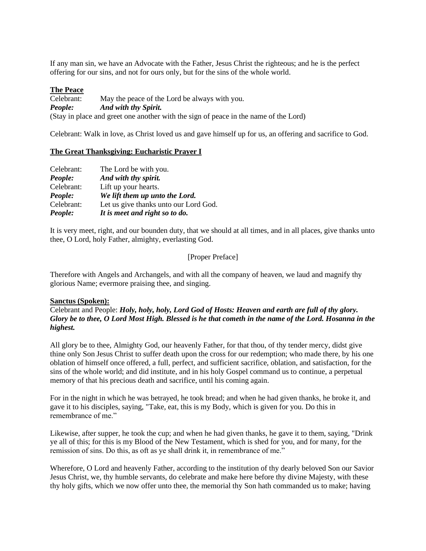If any man sin, we have an Advocate with the Father, Jesus Christ the righteous; and he is the perfect offering for our sins, and not for ours only, but for the sins of the whole world.

### **The Peace**

Celebrant: May the peace of the Lord be always with you. *People: And with thy Spirit.* (Stay in place and greet one another with the sign of peace in the name of the Lord)

Celebrant: Walk in love, as Christ loved us and gave himself up for us, an offering and sacrifice to God.

### **The Great Thanksgiving: Eucharistic Prayer I**

| People:    | It is meet and right so to do.        |
|------------|---------------------------------------|
| Celebrant: | Let us give thanks unto our Lord God. |
| People:    | We lift them up unto the Lord.        |
| Celebrant: | Lift up your hearts.                  |
| People:    | And with thy spirit.                  |
| Celebrant: | The Lord be with you.                 |

It is very meet, right, and our bounden duty, that we should at all times, and in all places, give thanks unto thee, O Lord, holy Father, almighty, everlasting God.

### [Proper Preface]

Therefore with Angels and Archangels, and with all the company of heaven, we laud and magnify thy glorious Name; evermore praising thee, and singing.

### **Sanctus (Spoken):**

Celebrant and People: *Holy, holy, holy, Lord God of Hosts: Heaven and earth are full of thy glory. Glory be to thee, O Lord Most High. Blessed is he that cometh in the name of the Lord. Hosanna in the highest.*

All glory be to thee, Almighty God, our heavenly Father, for that thou, of thy tender mercy, didst give thine only Son Jesus Christ to suffer death upon the cross for our redemption; who made there, by his one oblation of himself once offered, a full, perfect, and sufficient sacrifice, oblation, and satisfaction, for the sins of the whole world; and did institute, and in his holy Gospel command us to continue, a perpetual memory of that his precious death and sacrifice, until his coming again.

For in the night in which he was betrayed, he took bread; and when he had given thanks, he broke it, and gave it to his disciples, saying, "Take, eat, this is my Body, which is given for you. Do this in remembrance of me."

Likewise, after supper, he took the cup; and when he had given thanks, he gave it to them, saying, "Drink ye all of this; for this is my Blood of the New Testament, which is shed for you, and for many, for the remission of sins. Do this, as oft as ye shall drink it, in remembrance of me."

Wherefore, O Lord and heavenly Father, according to the institution of thy dearly beloved Son our Savior Jesus Christ, we, thy humble servants, do celebrate and make here before thy divine Majesty, with these thy holy gifts, which we now offer unto thee, the memorial thy Son hath commanded us to make; having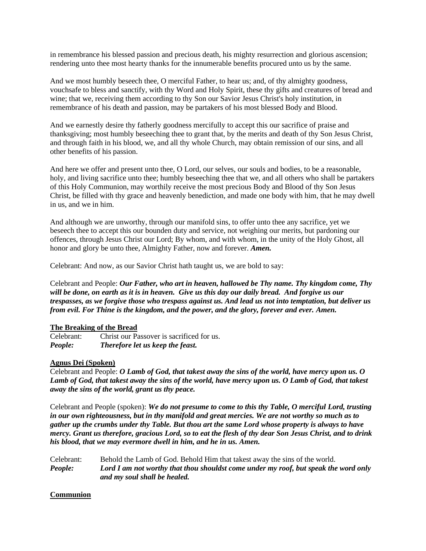in remembrance his blessed passion and precious death, his mighty resurrection and glorious ascension; rendering unto thee most hearty thanks for the innumerable benefits procured unto us by the same.

And we most humbly beseech thee, O merciful Father, to hear us; and, of thy almighty goodness, vouchsafe to bless and sanctify, with thy Word and Holy Spirit, these thy gifts and creatures of bread and wine; that we, receiving them according to thy Son our Savior Jesus Christ's holy institution, in remembrance of his death and passion, may be partakers of his most blessed Body and Blood.

And we earnestly desire thy fatherly goodness mercifully to accept this our sacrifice of praise and thanksgiving; most humbly beseeching thee to grant that, by the merits and death of thy Son Jesus Christ, and through faith in his blood, we, and all thy whole Church, may obtain remission of our sins, and all other benefits of his passion.

And here we offer and present unto thee, O Lord, our selves, our souls and bodies, to be a reasonable, holy, and living sacrifice unto thee; humbly beseeching thee that we, and all others who shall be partakers of this Holy Communion, may worthily receive the most precious Body and Blood of thy Son Jesus Christ, be filled with thy grace and heavenly benediction, and made one body with him, that he may dwell in us, and we in him.

And although we are unworthy, through our manifold sins, to offer unto thee any sacrifice, yet we beseech thee to accept this our bounden duty and service, not weighing our merits, but pardoning our offences, through Jesus Christ our Lord; By whom, and with whom, in the unity of the Holy Ghost, all honor and glory be unto thee, Almighty Father, now and forever. *Amen.*

Celebrant: And now, as our Savior Christ hath taught us, we are bold to say:

Celebrant and People: *Our Father, who art in heaven, hallowed be Thy name. Thy kingdom come, Thy will be done, on earth as it is in heaven. Give us this day our daily bread. And forgive us our trespasses, as we forgive those who trespass against us. And lead us not into temptation, but deliver us from evil. For Thine is the kingdom, and the power, and the glory, forever and ever. Amen.*

### **The Breaking of the Bread**

Celebrant: Christ our Passover is sacrificed for us. *People: Therefore let us keep the feast.*

## **Agnus Dei (Spoken)**

Celebrant and People: *O Lamb of God, that takest away the sins of the world, have mercy upon us. O Lamb of God, that takest away the sins of the world, have mercy upon us. O Lamb of God, that takest away the sins of the world, grant us thy peace.*

Celebrant and People (spoken): *We do not presume to come to this thy Table, O merciful Lord, trusting in our own righteousness, but in thy manifold and great mercies. We are not worthy so much as to gather up the crumbs under thy Table. But thou art the same Lord whose property is always to have mercy. Grant us therefore, gracious Lord, so to eat the flesh of thy dear Son Jesus Christ, and to drink his blood, that we may evermore dwell in him, and he in us. Amen.*

Celebrant: Behold the Lamb of God. Behold Him that takest away the sins of the world. *People: Lord I am not worthy that thou shouldst come under my roof, but speak the word only and my soul shall be healed.*

## **Communion**